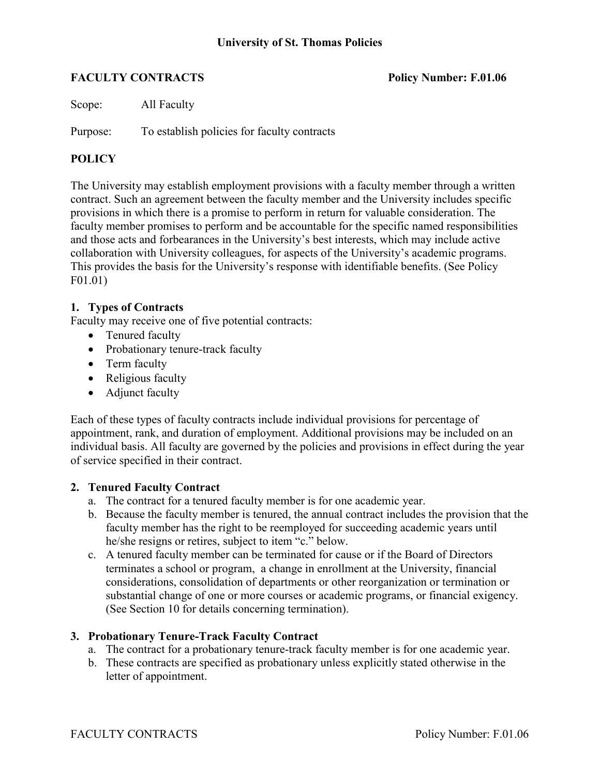# **FACULTY CONTRACTS** Policy Number: F.01.06

Scope: All Faculty

Purpose: To establish policies for faculty contracts

# **POLICY**

The University may establish employment provisions with a faculty member through a written contract. Such an agreement between the faculty member and the University includes specific provisions in which there is a promise to perform in return for valuable consideration. The faculty member promises to perform and be accountable for the specific named responsibilities and those acts and forbearances in the University's best interests, which may include active collaboration with University colleagues, for aspects of the University's academic programs. This provides the basis for the University's response with identifiable benefits. (See Policy F01.01)

# **1. Types of Contracts**

Faculty may receive one of five potential contracts:

- Tenured faculty
- Probationary tenure-track faculty
- Term faculty
- Religious faculty
- Adjunct faculty

Each of these types of faculty contracts include individual provisions for percentage of appointment, rank, and duration of employment. Additional provisions may be included on an individual basis. All faculty are governed by the policies and provisions in effect during the year of service specified in their contract.

# **2. Tenured Faculty Contract**

- a. The contract for a tenured faculty member is for one academic year.
- b. Because the faculty member is tenured, the annual contract includes the provision that the faculty member has the right to be reemployed for succeeding academic years until he/she resigns or retires, subject to item "c." below.
- c. A tenured faculty member can be terminated for cause or if the Board of Directors terminates a school or program, a change in enrollment at the University, financial considerations, consolidation of departments or other reorganization or termination or substantial change of one or more courses or academic programs, or financial exigency. (See Section 10 for details concerning termination).

# **3. Probationary Tenure-Track Faculty Contract**

- a. The contract for a probationary tenure-track faculty member is for one academic year.
- b. These contracts are specified as probationary unless explicitly stated otherwise in the letter of appointment.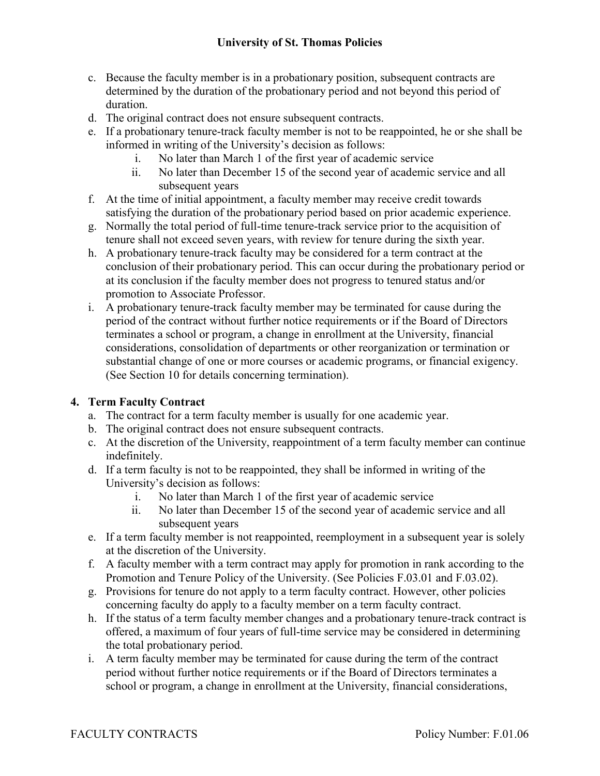- c. Because the faculty member is in a probationary position, subsequent contracts are determined by the duration of the probationary period and not beyond this period of duration.
- d. The original contract does not ensure subsequent contracts.
- e. If a probationary tenure-track faculty member is not to be reappointed, he or she shall be informed in writing of the University's decision as follows:
	- i. No later than March 1 of the first year of academic service
	- ii. No later than December 15 of the second year of academic service and all subsequent years
- f. At the time of initial appointment, a faculty member may receive credit towards satisfying the duration of the probationary period based on prior academic experience.
- g. Normally the total period of full-time tenure-track service prior to the acquisition of tenure shall not exceed seven years, with review for tenure during the sixth year.
- h. A probationary tenure-track faculty may be considered for a term contract at the conclusion of their probationary period. This can occur during the probationary period or at its conclusion if the faculty member does not progress to tenured status and/or promotion to Associate Professor.
- i. A probationary tenure-track faculty member may be terminated for cause during the period of the contract without further notice requirements or if the Board of Directors terminates a school or program, a change in enrollment at the University, financial considerations, consolidation of departments or other reorganization or termination or substantial change of one or more courses or academic programs, or financial exigency. (See Section 10 for details concerning termination).

# **4. Term Faculty Contract**

- a. The contract for a term faculty member is usually for one academic year.
- b. The original contract does not ensure subsequent contracts.
- c. At the discretion of the University, reappointment of a term faculty member can continue indefinitely.
- d. If a term faculty is not to be reappointed, they shall be informed in writing of the University's decision as follows:
	- i. No later than March 1 of the first year of academic service
	- ii. No later than December 15 of the second year of academic service and all subsequent years
- e. If a term faculty member is not reappointed, reemployment in a subsequent year is solely at the discretion of the University.
- f. A faculty member with a term contract may apply for promotion in rank according to the Promotion and Tenure Policy of the University. (See Policies F.03.01 and F.03.02).
- g. Provisions for tenure do not apply to a term faculty contract. However, other policies concerning faculty do apply to a faculty member on a term faculty contract.
- h. If the status of a term faculty member changes and a probationary tenure-track contract is offered, a maximum of four years of full-time service may be considered in determining the total probationary period.
- i. A term faculty member may be terminated for cause during the term of the contract period without further notice requirements or if the Board of Directors terminates a school or program, a change in enrollment at the University, financial considerations,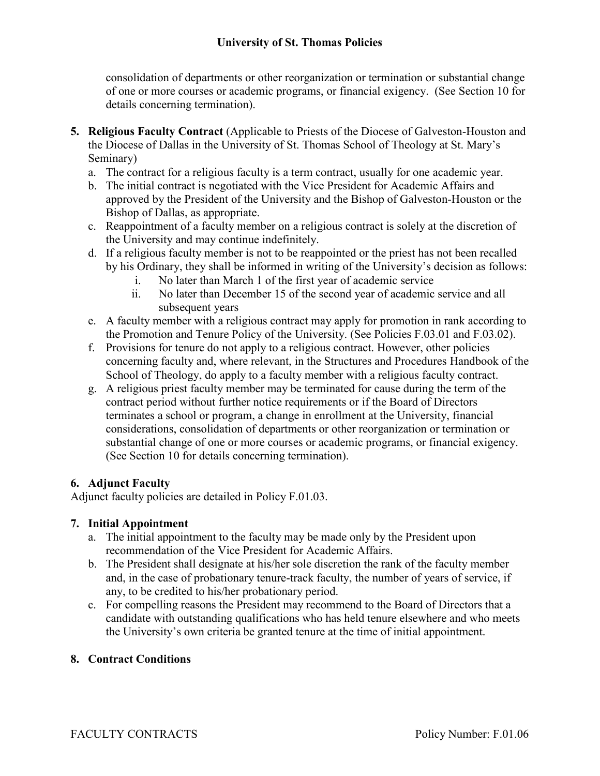consolidation of departments or other reorganization or termination or substantial change of one or more courses or academic programs, or financial exigency. (See Section 10 for details concerning termination).

- **5. Religious Faculty Contract** (Applicable to Priests of the Diocese of Galveston-Houston and the Diocese of Dallas in the University of St. Thomas School of Theology at St. Mary's Seminary)
	- a. The contract for a religious faculty is a term contract, usually for one academic year.
	- b. The initial contract is negotiated with the Vice President for Academic Affairs and approved by the President of the University and the Bishop of Galveston-Houston or the Bishop of Dallas, as appropriate.
	- c. Reappointment of a faculty member on a religious contract is solely at the discretion of the University and may continue indefinitely.
	- d. If a religious faculty member is not to be reappointed or the priest has not been recalled by his Ordinary, they shall be informed in writing of the University's decision as follows:
		- i. No later than March 1 of the first year of academic service
		- ii. No later than December 15 of the second year of academic service and all subsequent years
	- e. A faculty member with a religious contract may apply for promotion in rank according to the Promotion and Tenure Policy of the University. (See Policies F.03.01 and F.03.02).
	- f. Provisions for tenure do not apply to a religious contract. However, other policies concerning faculty and, where relevant, in the Structures and Procedures Handbook of the School of Theology, do apply to a faculty member with a religious faculty contract.
	- g. A religious priest faculty member may be terminated for cause during the term of the contract period without further notice requirements or if the Board of Directors terminates a school or program, a change in enrollment at the University, financial considerations, consolidation of departments or other reorganization or termination or substantial change of one or more courses or academic programs, or financial exigency. (See Section 10 for details concerning termination).

# **6. Adjunct Faculty**

Adjunct faculty policies are detailed in Policy F.01.03.

# **7. Initial Appointment**

- a. The initial appointment to the faculty may be made only by the President upon recommendation of the Vice President for Academic Affairs.
- b. The President shall designate at his/her sole discretion the rank of the faculty member and, in the case of probationary tenure-track faculty, the number of years of service, if any, to be credited to his/her probationary period.
- c. For compelling reasons the President may recommend to the Board of Directors that a candidate with outstanding qualifications who has held tenure elsewhere and who meets the University's own criteria be granted tenure at the time of initial appointment.

# **8. Contract Conditions**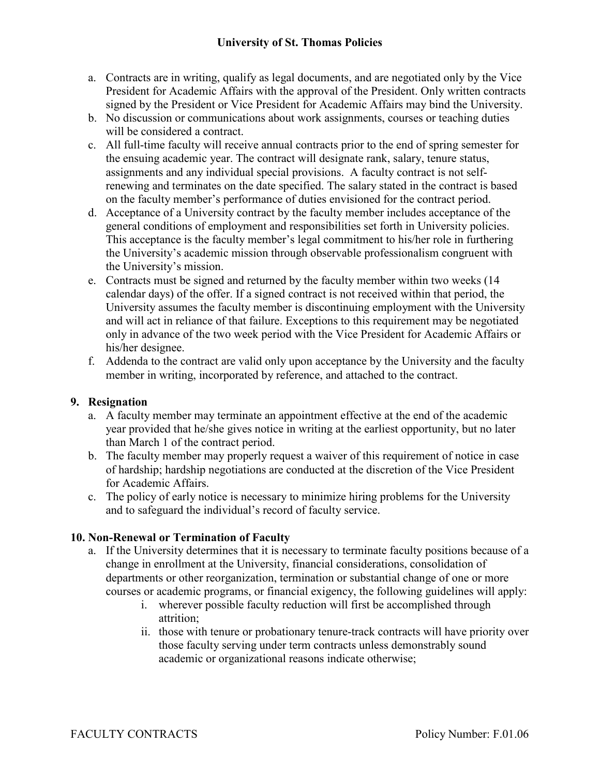- a. Contracts are in writing, qualify as legal documents, and are negotiated only by the Vice President for Academic Affairs with the approval of the President. Only written contracts signed by the President or Vice President for Academic Affairs may bind the University.
- b. No discussion or communications about work assignments, courses or teaching duties will be considered a contract.
- c. All full-time faculty will receive annual contracts prior to the end of spring semester for the ensuing academic year. The contract will designate rank, salary, tenure status, assignments and any individual special provisions. A faculty contract is not selfrenewing and terminates on the date specified. The salary stated in the contract is based on the faculty member's performance of duties envisioned for the contract period.
- d. Acceptance of a University contract by the faculty member includes acceptance of the general conditions of employment and responsibilities set forth in University policies. This acceptance is the faculty member's legal commitment to his/her role in furthering the University's academic mission through observable professionalism congruent with the University's mission.
- e. Contracts must be signed and returned by the faculty member within two weeks (14 calendar days) of the offer. If a signed contract is not received within that period, the University assumes the faculty member is discontinuing employment with the University and will act in reliance of that failure. Exceptions to this requirement may be negotiated only in advance of the two week period with the Vice President for Academic Affairs or his/her designee.
- f. Addenda to the contract are valid only upon acceptance by the University and the faculty member in writing, incorporated by reference, and attached to the contract.

# **9. Resignation**

- a. A faculty member may terminate an appointment effective at the end of the academic year provided that he/she gives notice in writing at the earliest opportunity, but no later than March 1 of the contract period.
- b. The faculty member may properly request a waiver of this requirement of notice in case of hardship; hardship negotiations are conducted at the discretion of the Vice President for Academic Affairs.
- c. The policy of early notice is necessary to minimize hiring problems for the University and to safeguard the individual's record of faculty service.

#### **10. Non-Renewal or Termination of Faculty**

- a. If the University determines that it is necessary to terminate faculty positions because of a change in enrollment at the University, financial considerations, consolidation of departments or other reorganization, termination or substantial change of one or more courses or academic programs, or financial exigency, the following guidelines will apply:
	- i. wherever possible faculty reduction will first be accomplished through attrition;
	- ii. those with tenure or probationary tenure-track contracts will have priority over those faculty serving under term contracts unless demonstrably sound academic or organizational reasons indicate otherwise;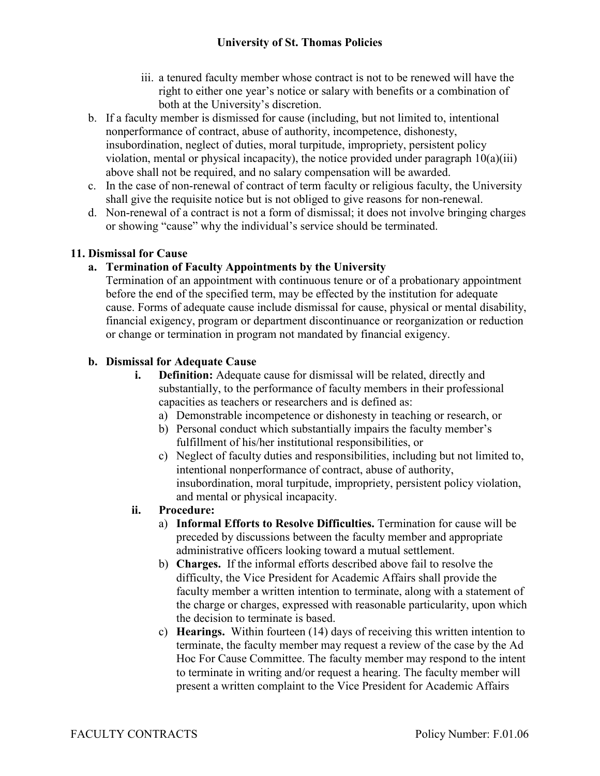- iii. a tenured faculty member whose contract is not to be renewed will have the right to either one year's notice or salary with benefits or a combination of both at the University's discretion.
- b. If a faculty member is dismissed for cause (including, but not limited to, intentional nonperformance of contract, abuse of authority, incompetence, dishonesty, insubordination, neglect of duties, moral turpitude, impropriety, persistent policy violation, mental or physical incapacity), the notice provided under paragraph  $10(a)(iii)$ above shall not be required, and no salary compensation will be awarded.
- c. In the case of non-renewal of contract of term faculty or religious faculty, the University shall give the requisite notice but is not obliged to give reasons for non-renewal.
- d. Non-renewal of a contract is not a form of dismissal; it does not involve bringing charges or showing "cause" why the individual's service should be terminated.

# **11. Dismissal for Cause**

# **a. Termination of Faculty Appointments by the University**

Termination of an appointment with continuous tenure or of a probationary appointment before the end of the specified term, may be effected by the institution for adequate cause. Forms of adequate cause include dismissal for cause, physical or mental disability, financial exigency, program or department discontinuance or reorganization or reduction or change or termination in program not mandated by financial exigency.

# **b. Dismissal for Adequate Cause**

- **i. Definition:** Adequate cause for dismissal will be related, directly and substantially, to the performance of faculty members in their professional capacities as teachers or researchers and is defined as:
	- a) Demonstrable incompetence or dishonesty in teaching or research, or
	- b) Personal conduct which substantially impairs the faculty member's fulfillment of his/her institutional responsibilities, or
	- c) Neglect of faculty duties and responsibilities, including but not limited to, intentional nonperformance of contract, abuse of authority, insubordination, moral turpitude, impropriety, persistent policy violation, and mental or physical incapacity.

# **ii. Procedure:**

- a) **Informal Efforts to Resolve Difficulties.** Termination for cause will be preceded by discussions between the faculty member and appropriate administrative officers looking toward a mutual settlement.
- b) **Charges.** If the informal efforts described above fail to resolve the difficulty, the Vice President for Academic Affairs shall provide the faculty member a written intention to terminate, along with a statement of the charge or charges, expressed with reasonable particularity, upon which the decision to terminate is based.
- c) **Hearings.** Within fourteen (14) days of receiving this written intention to terminate, the faculty member may request a review of the case by the Ad Hoc For Cause Committee. The faculty member may respond to the intent to terminate in writing and/or request a hearing. The faculty member will present a written complaint to the Vice President for Academic Affairs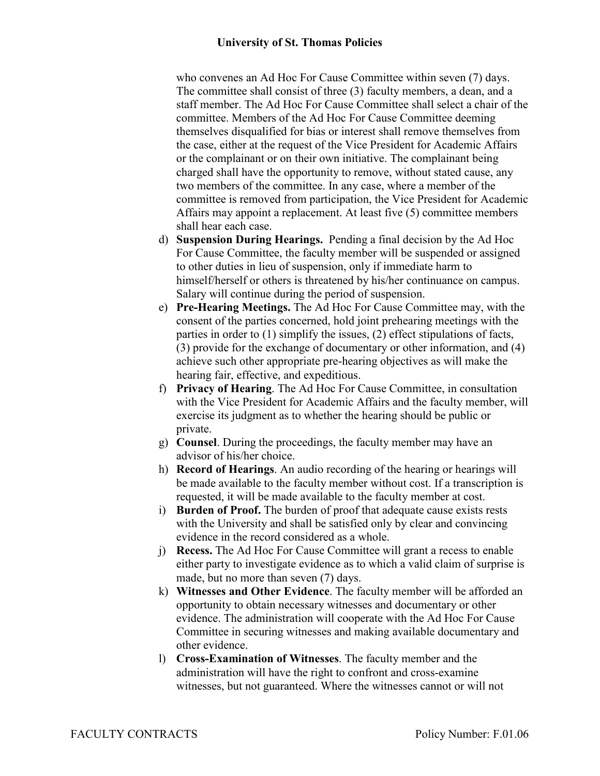who convenes an Ad Hoc For Cause Committee within seven (7) days. The committee shall consist of three (3) faculty members, a dean, and a staff member. The Ad Hoc For Cause Committee shall select a chair of the committee. Members of the Ad Hoc For Cause Committee deeming themselves disqualified for bias or interest shall remove themselves from the case, either at the request of the Vice President for Academic Affairs or the complainant or on their own initiative. The complainant being charged shall have the opportunity to remove, without stated cause, any two members of the committee. In any case, where a member of the committee is removed from participation, the Vice President for Academic Affairs may appoint a replacement. At least five (5) committee members shall hear each case.

- d) **Suspension During Hearings.** Pending a final decision by the Ad Hoc For Cause Committee, the faculty member will be suspended or assigned to other duties in lieu of suspension, only if immediate harm to himself/herself or others is threatened by his/her continuance on campus. Salary will continue during the period of suspension.
- e) **Pre-Hearing Meetings.** The Ad Hoc For Cause Committee may, with the consent of the parties concerned, hold joint prehearing meetings with the parties in order to (1) simplify the issues, (2) effect stipulations of facts, (3) provide for the exchange of documentary or other information, and (4) achieve such other appropriate pre-hearing objectives as will make the hearing fair, effective, and expeditious.
- f) **Privacy of Hearing**. The Ad Hoc For Cause Committee, in consultation with the Vice President for Academic Affairs and the faculty member, will exercise its judgment as to whether the hearing should be public or private.
- g) **Counsel**. During the proceedings, the faculty member may have an advisor of his/her choice.
- h) **Record of Hearings**. An audio recording of the hearing or hearings will be made available to the faculty member without cost. If a transcription is requested, it will be made available to the faculty member at cost.
- i) **Burden of Proof.** The burden of proof that adequate cause exists rests with the University and shall be satisfied only by clear and convincing evidence in the record considered as a whole.
- j) **Recess.** The Ad Hoc For Cause Committee will grant a recess to enable either party to investigate evidence as to which a valid claim of surprise is made, but no more than seven (7) days.
- k) **Witnesses and Other Evidence**. The faculty member will be afforded an opportunity to obtain necessary witnesses and documentary or other evidence. The administration will cooperate with the Ad Hoc For Cause Committee in securing witnesses and making available documentary and other evidence.
- l) **Cross-Examination of Witnesses**. The faculty member and the administration will have the right to confront and cross-examine witnesses, but not guaranteed. Where the witnesses cannot or will not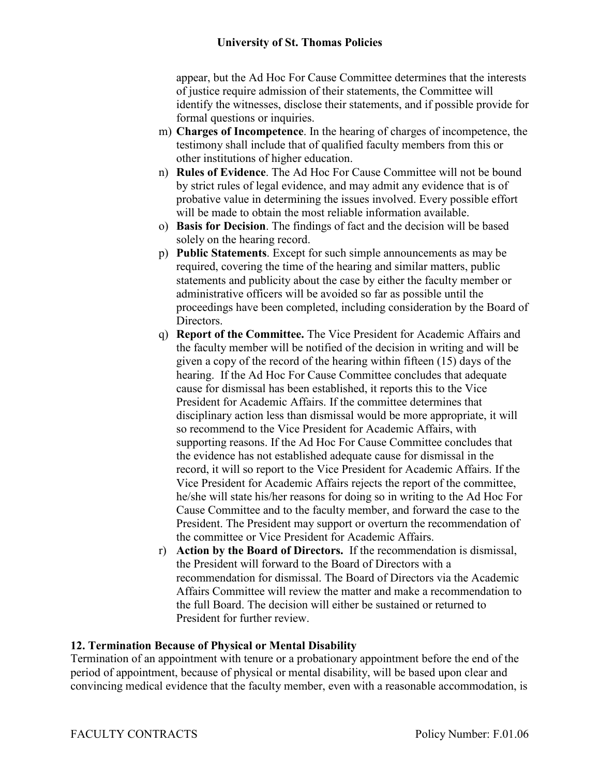appear, but the Ad Hoc For Cause Committee determines that the interests of justice require admission of their statements, the Committee will identify the witnesses, disclose their statements, and if possible provide for formal questions or inquiries.

- m) **Charges of Incompetence**. In the hearing of charges of incompetence, the testimony shall include that of qualified faculty members from this or other institutions of higher education.
- n) **Rules of Evidence**. The Ad Hoc For Cause Committee will not be bound by strict rules of legal evidence, and may admit any evidence that is of probative value in determining the issues involved. Every possible effort will be made to obtain the most reliable information available.
- o) **Basis for Decision**. The findings of fact and the decision will be based solely on the hearing record.
- p) **Public Statements**. Except for such simple announcements as may be required, covering the time of the hearing and similar matters, public statements and publicity about the case by either the faculty member or administrative officers will be avoided so far as possible until the proceedings have been completed, including consideration by the Board of Directors.
- q) **Report of the Committee.** The Vice President for Academic Affairs and the faculty member will be notified of the decision in writing and will be given a copy of the record of the hearing within fifteen (15) days of the hearing. If the Ad Hoc For Cause Committee concludes that adequate cause for dismissal has been established, it reports this to the Vice President for Academic Affairs. If the committee determines that disciplinary action less than dismissal would be more appropriate, it will so recommend to the Vice President for Academic Affairs, with supporting reasons. If the Ad Hoc For Cause Committee concludes that the evidence has not established adequate cause for dismissal in the record, it will so report to the Vice President for Academic Affairs. If the Vice President for Academic Affairs rejects the report of the committee, he/she will state his/her reasons for doing so in writing to the Ad Hoc For Cause Committee and to the faculty member, and forward the case to the President. The President may support or overturn the recommendation of the committee or Vice President for Academic Affairs.
- r) **Action by the Board of Directors.** If the recommendation is dismissal, the President will forward to the Board of Directors with a recommendation for dismissal. The Board of Directors via the Academic Affairs Committee will review the matter and make a recommendation to the full Board. The decision will either be sustained or returned to President for further review.

#### **12. Termination Because of Physical or Mental Disability**

Termination of an appointment with tenure or a probationary appointment before the end of the period of appointment, because of physical or mental disability, will be based upon clear and convincing medical evidence that the faculty member, even with a reasonable accommodation, is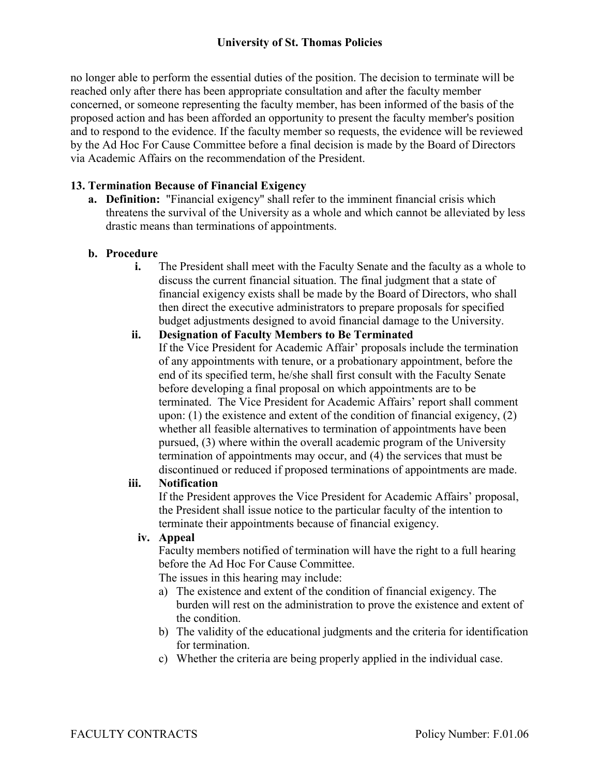no longer able to perform the essential duties of the position. The decision to terminate will be reached only after there has been appropriate consultation and after the faculty member concerned, or someone representing the faculty member, has been informed of the basis of the proposed action and has been afforded an opportunity to present the faculty member's position and to respond to the evidence. If the faculty member so requests, the evidence will be reviewed by the Ad Hoc For Cause Committee before a final decision is made by the Board of Directors via Academic Affairs on the recommendation of the President.

# **13. Termination Because of Financial Exigency**

**a. Definition:** "Financial exigency" shall refer to the imminent financial crisis which threatens the survival of the University as a whole and which cannot be alleviated by less drastic means than terminations of appointments.

# **b. Procedure**

**i.** The President shall meet with the Faculty Senate and the faculty as a whole to discuss the current financial situation. The final judgment that a state of financial exigency exists shall be made by the Board of Directors, who shall then direct the executive administrators to prepare proposals for specified budget adjustments designed to avoid financial damage to the University.

#### **ii. Designation of Faculty Members to Be Terminated**

If the Vice President for Academic Affair' proposals include the termination of any appointments with tenure, or a probationary appointment, before the end of its specified term, he/she shall first consult with the Faculty Senate before developing a final proposal on which appointments are to be terminated. The Vice President for Academic Affairs' report shall comment upon: (1) the existence and extent of the condition of financial exigency, (2) whether all feasible alternatives to termination of appointments have been pursued, (3) where within the overall academic program of the University termination of appointments may occur, and (4) the services that must be discontinued or reduced if proposed terminations of appointments are made.

# **iii. Notification**

If the President approves the Vice President for Academic Affairs' proposal, the President shall issue notice to the particular faculty of the intention to terminate their appointments because of financial exigency.

#### **iv. Appeal**

Faculty members notified of termination will have the right to a full hearing before the Ad Hoc For Cause Committee.

The issues in this hearing may include:

- a) The existence and extent of the condition of financial exigency. The burden will rest on the administration to prove the existence and extent of the condition.
- b) The validity of the educational judgments and the criteria for identification for termination.
- c) Whether the criteria are being properly applied in the individual case.